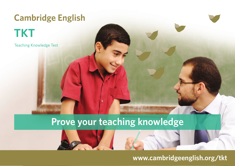# **Cambridge English TKT**

**Teaching Knowledge Test** 

## **Prove your teaching knowledge**

e

### **www.cambridgeenglish.org/tkt**